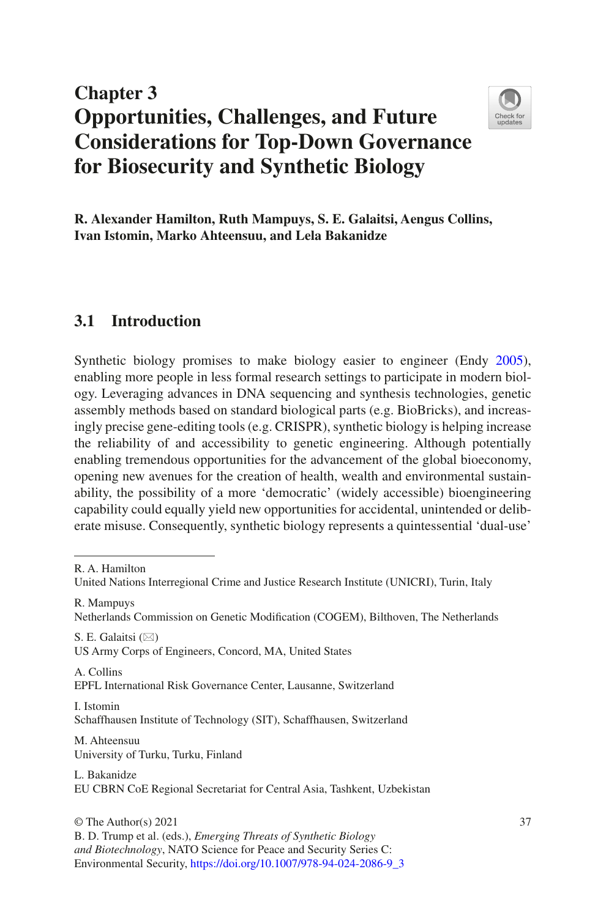# **Chapter 3 Opportunities, Challenges, and Future Considerations for Top-Down Governance for Biosecurity and Synthetic Biology**



**R. Alexander Hamilton, Ruth Mampuys, S. E. Galaitsi, Aengus Collins, Ivan Istomin, Marko Ahteensuu, and Lela Bakanidze**

# **3.1 Introduction**

Synthetic biology promises to make biology easier to engineer (Endy [2005\)](#page-19-0), enabling more people in less formal research settings to participate in modern biology. Leveraging advances in DNA sequencing and synthesis technologies, genetic assembly methods based on standard biological parts (e.g. BioBricks), and increasingly precise gene-editing tools (e.g. CRISPR), synthetic biology is helping increase the reliability of and accessibility to genetic engineering. Although potentially enabling tremendous opportunities for the advancement of the global bioeconomy, opening new avenues for the creation of health, wealth and environmental sustainability, the possibility of a more 'democratic' (widely accessible) bioengineering capability could equally yield new opportunities for accidental, unintended or deliberate misuse. Consequently, synthetic biology represents a quintessential 'dual-use'

R. A. Hamilton

R. Mampuys Netherlands Commission on Genetic Modifcation (COGEM), Bilthoven, The Netherlands

S. E. Galaitsi  $(\boxtimes)$ US Army Corps of Engineers, Concord, MA, United States

A. Collins EPFL International Risk Governance Center, Lausanne, Switzerland

I. Istomin Schaffhausen Institute of Technology (SIT), Schaffhausen, Switzerland

M. Ahteensuu University of Turku, Turku, Finland

L. Bakanidze EU CBRN CoE Regional Secretariat for Central Asia, Tashkent, Uzbekistan

 $\odot$  The Author(s) 2021 37 B. D. Trump et al. (eds.), *Emerging Threats of Synthetic Biology and Biotechnology*, NATO Science for Peace and Security Series C: Environmental Security, [https://doi.org/10.1007/978-94-024-2086-9\\_3](https://doi.org/10.1007/978-94-024-2086-9_3#DOI)

United Nations Interregional Crime and Justice Research Institute (UNICRI), Turin, Italy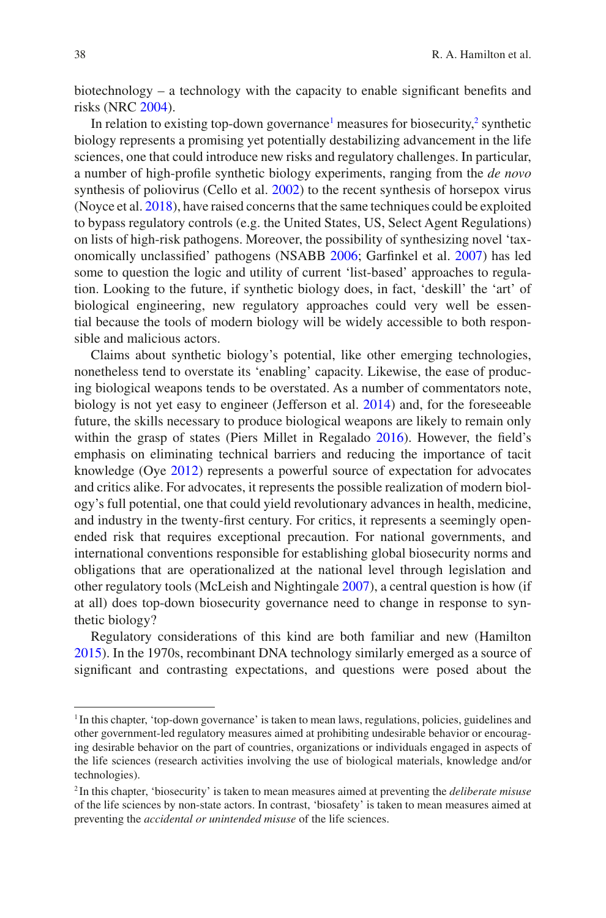biotechnology – a technology with the capacity to enable signifcant benefts and risks (NRC [2004\)](#page-20-0).

In relation to existing top-down governance<sup>1</sup> measures for biosecurity, $\frac{2}{3}$  synthetic biology represents a promising yet potentially destabilizing advancement in the life sciences, one that could introduce new risks and regulatory challenges. In particular, a number of high-profle synthetic biology experiments, ranging from the *de novo* synthesis of poliovirus (Cello et al. [2002](#page-19-1)) to the recent synthesis of horsepox virus (Noyce et al. [2018](#page-20-1)), have raised concerns that the same techniques could be exploited to bypass regulatory controls (e.g. the United States, US, Select Agent Regulations) on lists of high-risk pathogens. Moreover, the possibility of synthesizing novel 'taxonomically unclassifed' pathogens (NSABB [2006;](#page-20-2) Garfnkel et al. [2007](#page-19-2)) has led some to question the logic and utility of current 'list-based' approaches to regulation. Looking to the future, if synthetic biology does, in fact, 'deskill' the 'art' of biological engineering, new regulatory approaches could very well be essential because the tools of modern biology will be widely accessible to both responsible and malicious actors.

Claims about synthetic biology's potential, like other emerging technologies, nonetheless tend to overstate its 'enabling' capacity. Likewise, the ease of producing biological weapons tends to be overstated. As a number of commentators note, biology is not yet easy to engineer (Jefferson et al. [2014\)](#page-19-3) and, for the foreseeable future, the skills necessary to produce biological weapons are likely to remain only within the grasp of states (Piers Millet in Regalado [2016\)](#page-20-3). However, the feld's emphasis on eliminating technical barriers and reducing the importance of tacit knowledge (Oye [2012](#page-20-4)) represents a powerful source of expectation for advocates and critics alike. For advocates, it represents the possible realization of modern biology's full potential, one that could yield revolutionary advances in health, medicine, and industry in the twenty-frst century. For critics, it represents a seemingly openended risk that requires exceptional precaution. For national governments, and international conventions responsible for establishing global biosecurity norms and obligations that are operationalized at the national level through legislation and other regulatory tools (McLeish and Nightingale [2007](#page-20-5)), a central question is how (if at all) does top-down biosecurity governance need to change in response to synthetic biology?

Regulatory considerations of this kind are both familiar and new (Hamilton [2015\)](#page-19-4). In the 1970s, recombinant DNA technology similarly emerged as a source of signifcant and contrasting expectations, and questions were posed about the

<span id="page-1-0"></span><sup>&</sup>lt;sup>1</sup> In this chapter, 'top-down governance' is taken to mean laws, regulations, policies, guidelines and other government-led regulatory measures aimed at prohibiting undesirable behavior or encouraging desirable behavior on the part of countries, organizations or individuals engaged in aspects of the life sciences (research activities involving the use of biological materials, knowledge and/or technologies).

<span id="page-1-1"></span><sup>2</sup> In this chapter, 'biosecurity' is taken to mean measures aimed at preventing the *deliberate misuse* of the life sciences by non-state actors. In contrast, 'biosafety' is taken to mean measures aimed at preventing the *accidental or unintended misuse* of the life sciences.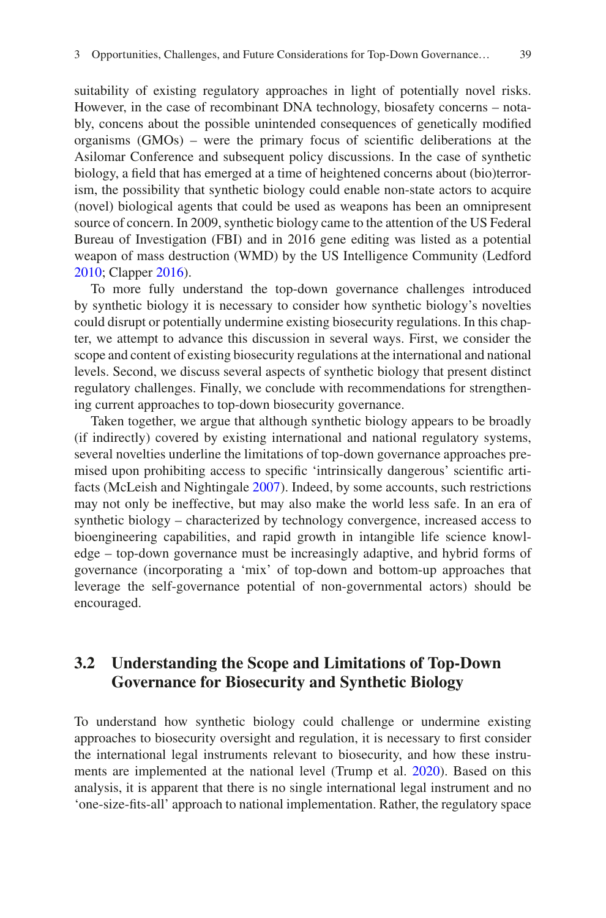suitability of existing regulatory approaches in light of potentially novel risks. However, in the case of recombinant DNA technology, biosafety concerns – notably, concens about the possible unintended consequences of genetically modifed organisms (GMOs) – were the primary focus of scientifc deliberations at the Asilomar Conference and subsequent policy discussions. In the case of synthetic biology, a feld that has emerged at a time of heightened concerns about (bio)terrorism, the possibility that synthetic biology could enable non-state actors to acquire (novel) biological agents that could be used as weapons has been an omnipresent source of concern. In 2009, synthetic biology came to the attention of the US Federal Bureau of Investigation (FBI) and in 2016 gene editing was listed as a potential weapon of mass destruction (WMD) by the US Intelligence Community (Ledford [2010;](#page-19-5) Clapper [2016](#page-19-6)).

To more fully understand the top-down governance challenges introduced by synthetic biology it is necessary to consider how synthetic biology's novelties could disrupt or potentially undermine existing biosecurity regulations. In this chapter, we attempt to advance this discussion in several ways. First, we consider the scope and content of existing biosecurity regulations at the international and national levels. Second, we discuss several aspects of synthetic biology that present distinct regulatory challenges. Finally, we conclude with recommendations for strengthening current approaches to top-down biosecurity governance.

Taken together, we argue that although synthetic biology appears to be broadly (if indirectly) covered by existing international and national regulatory systems, several novelties underline the limitations of top-down governance approaches premised upon prohibiting access to specifc 'intrinsically dangerous' scientifc artifacts (McLeish and Nightingale [2007](#page-20-5)). Indeed, by some accounts, such restrictions may not only be ineffective, but may also make the world less safe. In an era of synthetic biology – characterized by technology convergence, increased access to bioengineering capabilities, and rapid growth in intangible life science knowledge – top-down governance must be increasingly adaptive, and hybrid forms of governance (incorporating a 'mix' of top-down and bottom-up approaches that leverage the self-governance potential of non-governmental actors) should be encouraged.

# **3.2 Understanding the Scope and Limitations of Top-Down Governance for Biosecurity and Synthetic Biology**

To understand how synthetic biology could challenge or undermine existing approaches to biosecurity oversight and regulation, it is necessary to frst consider the international legal instruments relevant to biosecurity, and how these instruments are implemented at the national level (Trump et al. [2020](#page-21-0)). Based on this analysis, it is apparent that there is no single international legal instrument and no 'one-size-fts-all' approach to national implementation. Rather, the regulatory space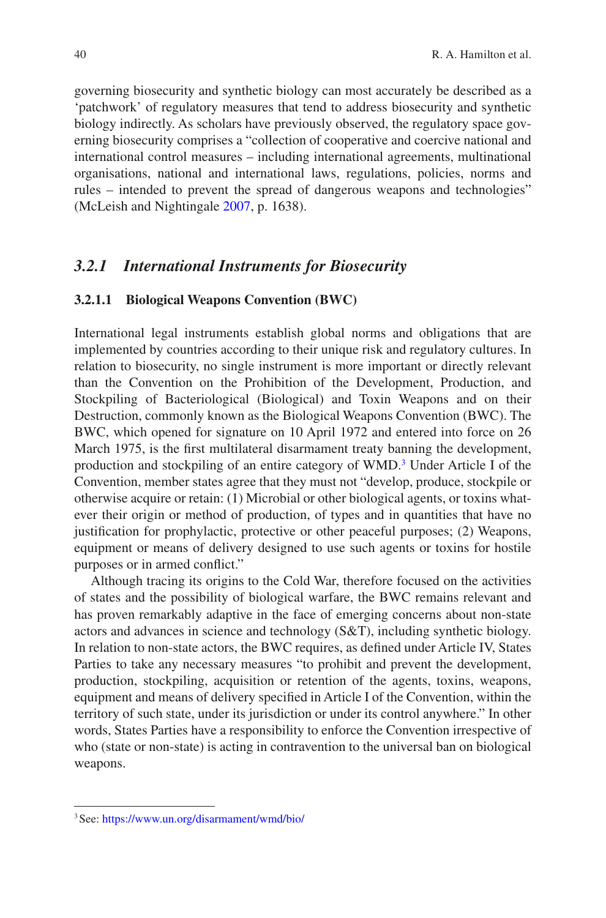governing biosecurity and synthetic biology can most accurately be described as a 'patchwork' of regulatory measures that tend to address biosecurity and synthetic biology indirectly. As scholars have previously observed, the regulatory space governing biosecurity comprises a "collection of cooperative and coercive national and international control measures – including international agreements, multinational organisations, national and international laws, regulations, policies, norms and rules – intended to prevent the spread of dangerous weapons and technologies" (McLeish and Nightingale [2007,](#page-20-5) p. 1638).

## *3.2.1 International Instruments for Biosecurity*

#### **3.2.1.1 Biological Weapons Convention (BWC)**

International legal instruments establish global norms and obligations that are implemented by countries according to their unique risk and regulatory cultures. In relation to biosecurity, no single instrument is more important or directly relevant than the Convention on the Prohibition of the Development, Production, and Stockpiling of Bacteriological (Biological) and Toxin Weapons and on their Destruction, commonly known as the Biological Weapons Convention (BWC). The BWC, which opened for signature on 10 April 1972 and entered into force on 26 March 1975, is the frst multilateral disarmament treaty banning the development, production and stockpiling of an entire category of WMD.<sup>3</sup> Under Article I of the Convention, member states agree that they must not "develop, produce, stockpile or otherwise acquire or retain: (1) Microbial or other biological agents, or toxins whatever their origin or method of production, of types and in quantities that have no justifcation for prophylactic, protective or other peaceful purposes; (2) Weapons, equipment or means of delivery designed to use such agents or toxins for hostile purposes or in armed confict."

Although tracing its origins to the Cold War, therefore focused on the activities of states and the possibility of biological warfare, the BWC remains relevant and has proven remarkably adaptive in the face of emerging concerns about non-state actors and advances in science and technology (S&T), including synthetic biology. In relation to non-state actors, the BWC requires, as defned under Article IV, States Parties to take any necessary measures "to prohibit and prevent the development, production, stockpiling, acquisition or retention of the agents, toxins, weapons, equipment and means of delivery specifed in Article I of the Convention, within the territory of such state, under its jurisdiction or under its control anywhere." In other words, States Parties have a responsibility to enforce the Convention irrespective of who (state or non-state) is acting in contravention to the universal ban on biological weapons.

<span id="page-3-0"></span><sup>3</sup>See:<https://www.un.org/disarmament/wmd/bio/>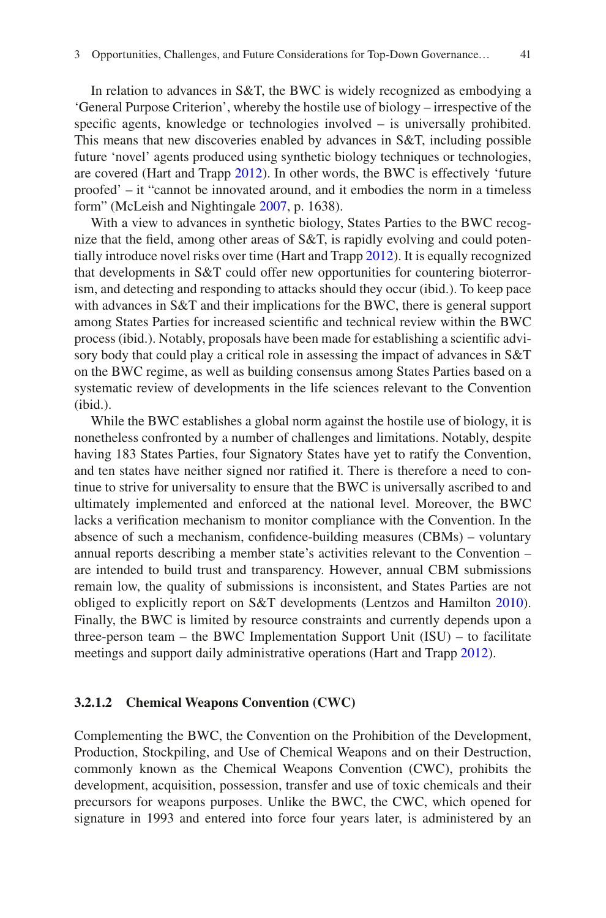form" (McLeish and Nightingale [2007](#page-20-5), p. 1638).

In relation to advances in S&T, the BWC is widely recognized as embodying a 'General Purpose Criterion', whereby the hostile use of biology – irrespective of the specifc agents, knowledge or technologies involved – is universally prohibited. This means that new discoveries enabled by advances in S&T, including possible future 'novel' agents produced using synthetic biology techniques or technologies, are covered (Hart and Trapp [2012](#page-19-7)). In other words, the BWC is effectively 'future proofed' – it "cannot be innovated around, and it embodies the norm in a timeless

With a view to advances in synthetic biology, States Parties to the BWC recognize that the feld, among other areas of S&T, is rapidly evolving and could potentially introduce novel risks over time (Hart and Trapp [2012](#page-19-7)). It is equally recognized that developments in S&T could offer new opportunities for countering bioterrorism, and detecting and responding to attacks should they occur (ibid.). To keep pace with advances in S&T and their implications for the BWC, there is general support among States Parties for increased scientifc and technical review within the BWC process (ibid.). Notably, proposals have been made for establishing a scientifc advisory body that could play a critical role in assessing the impact of advances in S&T on the BWC regime, as well as building consensus among States Parties based on a systematic review of developments in the life sciences relevant to the Convention (ibid.).

While the BWC establishes a global norm against the hostile use of biology, it is nonetheless confronted by a number of challenges and limitations. Notably, despite having 183 States Parties, four Signatory States have yet to ratify the Convention, and ten states have neither signed nor ratifed it. There is therefore a need to continue to strive for universality to ensure that the BWC is universally ascribed to and ultimately implemented and enforced at the national level. Moreover, the BWC lacks a verifcation mechanism to monitor compliance with the Convention. In the absence of such a mechanism, confdence-building measures (CBMs) – voluntary annual reports describing a member state's activities relevant to the Convention – are intended to build trust and transparency. However, annual CBM submissions remain low, the quality of submissions is inconsistent, and States Parties are not obliged to explicitly report on S&T developments (Lentzos and Hamilton [2010\)](#page-20-6). Finally, the BWC is limited by resource constraints and currently depends upon a three-person team – the BWC Implementation Support Unit (ISU) – to facilitate meetings and support daily administrative operations (Hart and Trapp [2012](#page-19-7)).

#### **3.2.1.2 Chemical Weapons Convention (CWC)**

Complementing the BWC, the Convention on the Prohibition of the Development, Production, Stockpiling, and Use of Chemical Weapons and on their Destruction, commonly known as the Chemical Weapons Convention (CWC), prohibits the development, acquisition, possession, transfer and use of toxic chemicals and their precursors for weapons purposes. Unlike the BWC, the CWC, which opened for signature in 1993 and entered into force four years later, is administered by an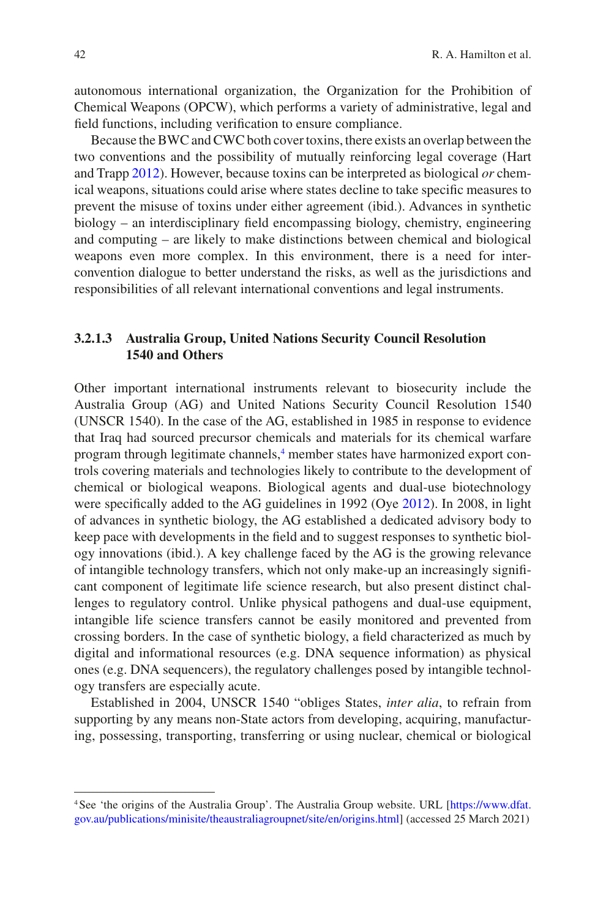autonomous international organization, the Organization for the Prohibition of Chemical Weapons (OPCW), which performs a variety of administrative, legal and feld functions, including verifcation to ensure compliance.

Because the BWC and CWC both cover toxins, there exists an overlap between the two conventions and the possibility of mutually reinforcing legal coverage (Hart and Trapp [2012\)](#page-19-7). However, because toxins can be interpreted as biological *or* chemical weapons, situations could arise where states decline to take specifc measures to prevent the misuse of toxins under either agreement (ibid.). Advances in synthetic biology – an interdisciplinary feld encompassing biology, chemistry, engineering and computing – are likely to make distinctions between chemical and biological weapons even more complex. In this environment, there is a need for interconvention dialogue to better understand the risks, as well as the jurisdictions and responsibilities of all relevant international conventions and legal instruments.

## **3.2.1.3 Australia Group, United Nations Security Council Resolution 1540 and Others**

Other important international instruments relevant to biosecurity include the Australia Group (AG) and United Nations Security Council Resolution 1540 (UNSCR 1540). In the case of the AG, established in 1985 in response to evidence that Iraq had sourced precursor chemicals and materials for its chemical warfare program through legitimate channels,<sup>[4](#page-5-0)</sup> member states have harmonized export controls covering materials and technologies likely to contribute to the development of chemical or biological weapons. Biological agents and dual-use biotechnology were specifcally added to the AG guidelines in 1992 (Oye [2012\)](#page-20-4). In 2008, in light of advances in synthetic biology, the AG established a dedicated advisory body to keep pace with developments in the feld and to suggest responses to synthetic biology innovations (ibid.). A key challenge faced by the AG is the growing relevance of intangible technology transfers, which not only make-up an increasingly signifcant component of legitimate life science research, but also present distinct challenges to regulatory control. Unlike physical pathogens and dual-use equipment, intangible life science transfers cannot be easily monitored and prevented from crossing borders. In the case of synthetic biology, a feld characterized as much by digital and informational resources (e.g. DNA sequence information) as physical ones (e.g. DNA sequencers), the regulatory challenges posed by intangible technology transfers are especially acute.

Established in 2004, UNSCR 1540 "obliges States, *inter alia*, to refrain from supporting by any means non-State actors from developing, acquiring, manufacturing, possessing, transporting, transferring or using nuclear, chemical or biological

<span id="page-5-0"></span><sup>4</sup>See 'the origins of the Australia Group'. The Australia Group website. URL [[https://www.dfat.](https://www.dfat.gov.au/publications/minisite/theaustraliagroupnet/site/en/origins.html) [gov.au/publications/minisite/theaustraliagroupnet/site/en/origins.html\]](https://www.dfat.gov.au/publications/minisite/theaustraliagroupnet/site/en/origins.html) (accessed 25 March 2021)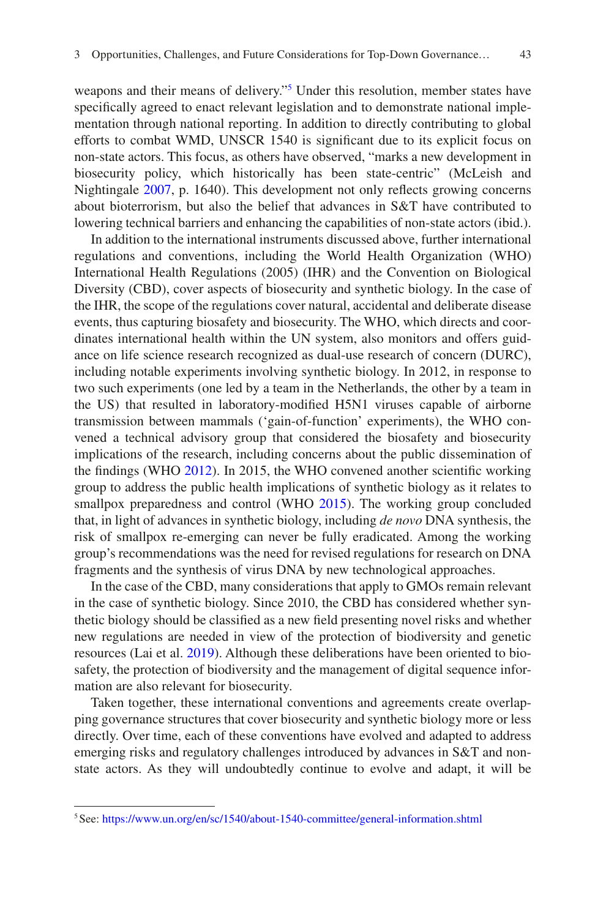weapons and their means of delivery."<sup>[5](#page-6-0)</sup> Under this resolution, member states have specifcally agreed to enact relevant legislation and to demonstrate national implementation through national reporting. In addition to directly contributing to global efforts to combat WMD, UNSCR 1540 is signifcant due to its explicit focus on non-state actors. This focus, as others have observed, "marks a new development in biosecurity policy, which historically has been state-centric" (McLeish and Nightingale [2007](#page-20-5), p. 1640). This development not only refects growing concerns about bioterrorism, but also the belief that advances in S&T have contributed to lowering technical barriers and enhancing the capabilities of non-state actors (ibid.).

In addition to the international instruments discussed above, further international regulations and conventions, including the World Health Organization (WHO) International Health Regulations (2005) (IHR) and the Convention on Biological Diversity (CBD), cover aspects of biosecurity and synthetic biology. In the case of the IHR, the scope of the regulations cover natural, accidental and deliberate disease events, thus capturing biosafety and biosecurity. The WHO, which directs and coordinates international health within the UN system, also monitors and offers guidance on life science research recognized as dual-use research of concern (DURC), including notable experiments involving synthetic biology. In 2012, in response to two such experiments (one led by a team in the Netherlands, the other by a team in the US) that resulted in laboratory-modifed H5N1 viruses capable of airborne transmission between mammals ('gain-of-function' experiments), the WHO convened a technical advisory group that considered the biosafety and biosecurity implications of the research, including concerns about the public dissemination of the fndings (WHO [2012\)](#page-21-1). In 2015, the WHO convened another scientifc working group to address the public health implications of synthetic biology as it relates to smallpox preparedness and control (WHO [2015\)](#page-21-2). The working group concluded that, in light of advances in synthetic biology, including *de novo* DNA synthesis, the risk of smallpox re-emerging can never be fully eradicated. Among the working group's recommendations was the need for revised regulations for research on DNA fragments and the synthesis of virus DNA by new technological approaches.

In the case of the CBD, many considerations that apply to GMOs remain relevant in the case of synthetic biology. Since 2010, the CBD has considered whether synthetic biology should be classifed as a new feld presenting novel risks and whether new regulations are needed in view of the protection of biodiversity and genetic resources (Lai et al. [2019\)](#page-19-8). Although these deliberations have been oriented to biosafety, the protection of biodiversity and the management of digital sequence information are also relevant for biosecurity.

Taken together, these international conventions and agreements create overlapping governance structures that cover biosecurity and synthetic biology more or less directly. Over time, each of these conventions have evolved and adapted to address emerging risks and regulatory challenges introduced by advances in S&T and nonstate actors. As they will undoubtedly continue to evolve and adapt, it will be

<span id="page-6-0"></span><sup>5</sup>See:<https://www.un.org/en/sc/1540/about-1540-committee/general-information.shtml>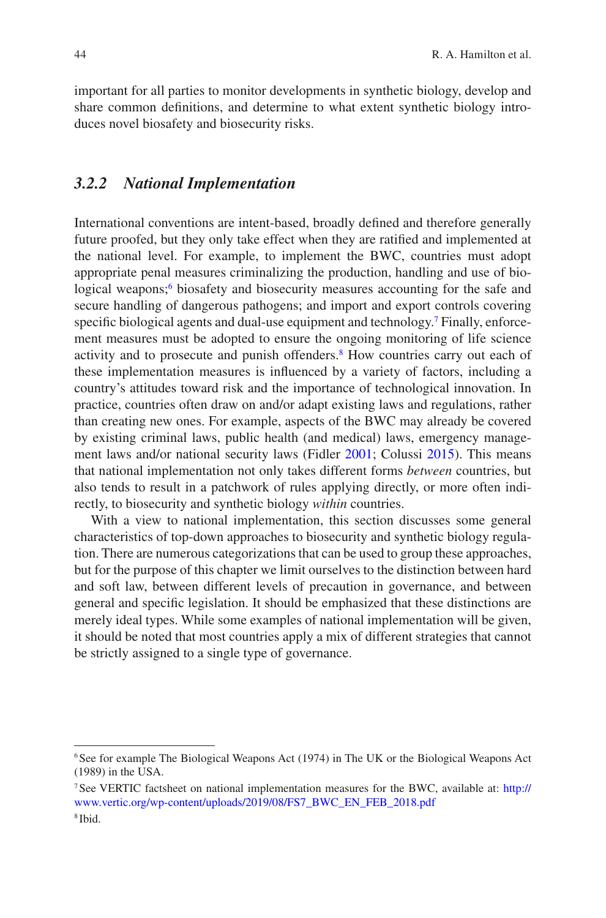important for all parties to monitor developments in synthetic biology, develop and share common defnitions, and determine to what extent synthetic biology introduces novel biosafety and biosecurity risks.

# *3.2.2 National Implementation*

International conventions are intent-based, broadly defned and therefore generally future proofed, but they only take effect when they are ratifed and implemented at the national level. For example, to implement the BWC, countries must adopt appropriate penal measures criminalizing the production, handling and use of biological weapons;<sup>6</sup> biosafety and biosecurity measures accounting for the safe and secure handling of dangerous pathogens; and import and export controls covering specific biological agents and dual-use equipment and technology.<sup>7</sup> Finally, enforcement measures must be adopted to ensure the ongoing monitoring of life science activity and to prosecute and punish offenders.<sup>[8](#page-7-2)</sup> How countries carry out each of these implementation measures is infuenced by a variety of factors, including a country's attitudes toward risk and the importance of technological innovation. In practice, countries often draw on and/or adapt existing laws and regulations, rather than creating new ones. For example, aspects of the BWC may already be covered by existing criminal laws, public health (and medical) laws, emergency management laws and/or national security laws (Fidler [2001](#page-19-9); Colussi [2015\)](#page-19-10). This means that national implementation not only takes different forms *between* countries, but also tends to result in a patchwork of rules applying directly, or more often indirectly, to biosecurity and synthetic biology *within* countries.

With a view to national implementation, this section discusses some general characteristics of top-down approaches to biosecurity and synthetic biology regulation. There are numerous categorizations that can be used to group these approaches, but for the purpose of this chapter we limit ourselves to the distinction between hard and soft law, between different levels of precaution in governance, and between general and specifc legislation. It should be emphasized that these distinctions are merely ideal types. While some examples of national implementation will be given, it should be noted that most countries apply a mix of different strategies that cannot be strictly assigned to a single type of governance.

<span id="page-7-0"></span><sup>6</sup>See for example The Biological Weapons Act (1974) in The UK or the Biological Weapons Act (1989) in the USA.

<span id="page-7-2"></span><span id="page-7-1"></span><sup>7</sup>See VERTIC factsheet on national implementation measures for the BWC, available at: [http://](http://www.vertic.org/wp-content/uploads/2019/08/FS7_BWC_EN_FEB_2018.pdf) [www.vertic.org/wp-content/uploads/2019/08/FS7\\_BWC\\_EN\\_FEB\\_2018.pdf](http://www.vertic.org/wp-content/uploads/2019/08/FS7_BWC_EN_FEB_2018.pdf) <sup>8</sup> Ibid.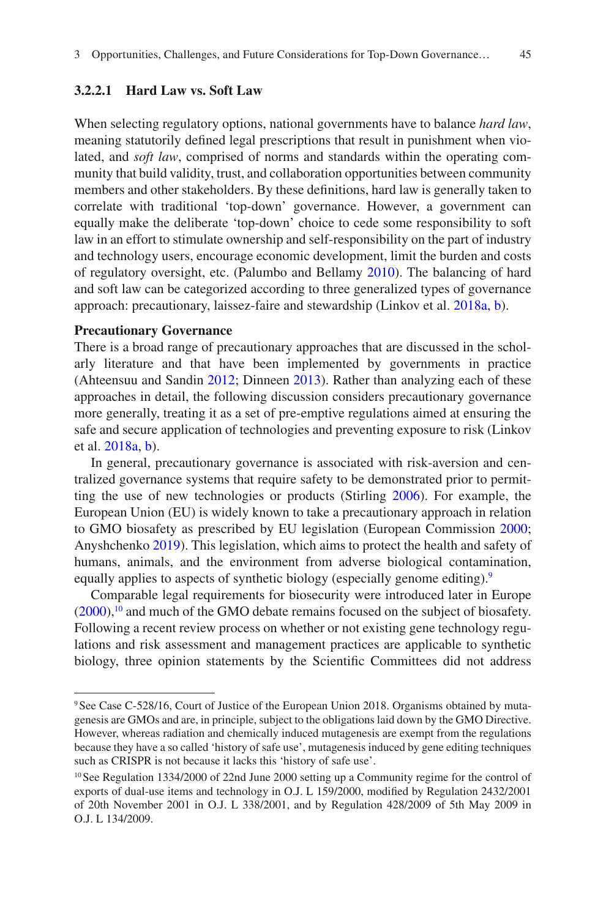#### **3.2.2.1 Hard Law vs. Soft Law**

When selecting regulatory options, national governments have to balance *hard law*, meaning statutorily defned legal prescriptions that result in punishment when violated, and *soft law*, comprised of norms and standards within the operating community that build validity, trust, and collaboration opportunities between community members and other stakeholders. By these defnitions, hard law is generally taken to correlate with traditional 'top-down' governance. However, a government can equally make the deliberate 'top-down' choice to cede some responsibility to soft law in an effort to stimulate ownership and self-responsibility on the part of industry and technology users, encourage economic development, limit the burden and costs of regulatory oversight, etc. (Palumbo and Bellamy [2010](#page-20-7)). The balancing of hard and soft law can be categorized according to three generalized types of governance approach: precautionary, laissez-faire and stewardship (Linkov et al. [2018a,](#page-20-8) [b\)](#page-20-9).

#### **Precautionary Governance**

There is a broad range of precautionary approaches that are discussed in the scholarly literature and that have been implemented by governments in practice (Ahteensuu and Sandin [2012;](#page-18-0) Dinneen [2013\)](#page-19-11). Rather than analyzing each of these approaches in detail, the following discussion considers precautionary governance more generally, treating it as a set of pre-emptive regulations aimed at ensuring the safe and secure application of technologies and preventing exposure to risk (Linkov et al. [2018a](#page-20-8), [b](#page-20-9)).

In general, precautionary governance is associated with risk-aversion and centralized governance systems that require safety to be demonstrated prior to permitting the use of new technologies or products (Stirling [2006\)](#page-20-10). For example, the European Union (EU) is widely known to take a precautionary approach in relation to GMO biosafety as prescribed by EU legislation (European Commission [2000;](#page-19-12) Anyshchenko [2019\)](#page-18-1). This legislation, which aims to protect the health and safety of humans, animals, and the environment from adverse biological contamination, equally applies to aspects of synthetic biology (especially genome editing).<sup>9</sup>

Comparable legal requirements for biosecurity were introduced later in Europe  $(2000)$  $(2000)$ ,<sup>10</sup> and much of the GMO debate remains focused on the subject of biosafety. Following a recent review process on whether or not existing gene technology regulations and risk assessment and management practices are applicable to synthetic biology, three opinion statements by the Scientifc Committees did not address

<span id="page-8-0"></span><sup>9</sup>See Case C-528/16, Court of Justice of the European Union 2018. Organisms obtained by mutagenesis are GMOs and are, in principle, subject to the obligations laid down by the GMO Directive. However, whereas radiation and chemically induced mutagenesis are exempt from the regulations because they have a so called 'history of safe use', mutagenesis induced by gene editing techniques such as CRISPR is not because it lacks this 'history of safe use'.

<span id="page-8-1"></span><sup>&</sup>lt;sup>10</sup> See Regulation 1334/2000 of 22nd June 2000 setting up a Community regime for the control of exports of dual-use items and technology in O.J. L 159/2000, modifed by Regulation 2432/2001 of 20th November 2001 in O.J. L 338/2001, and by Regulation 428/2009 of 5th May 2009 in O.J. L 134/2009.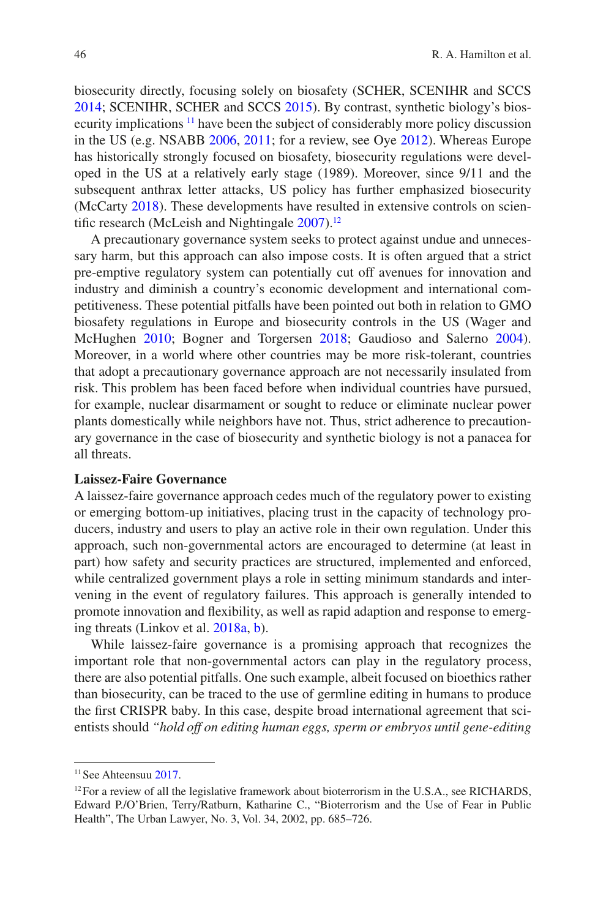biosecurity directly, focusing solely on biosafety (SCHER, SCENIHR and SCCS [2014;](#page-20-11) SCENIHR, SCHER and SCCS [2015\)](#page-20-12). By contrast, synthetic biology's biosecurity implications [11](#page-9-0) have been the subject of considerably more policy discussion in the US (e.g. NSABB [2006,](#page-20-2) [2011;](#page-20-13) for a review, see Oye [2012\)](#page-20-4). Whereas Europe has historically strongly focused on biosafety, biosecurity regulations were developed in the US at a relatively early stage (1989). Moreover, since 9/11 and the subsequent anthrax letter attacks, US policy has further emphasized biosecurity (McCarty [2018](#page-20-14)). These developments have resulted in extensive controls on scientific research (McLeish and Nightingale  $2007$ ).<sup>[12](#page-9-1)</sup>

A precautionary governance system seeks to protect against undue and unnecessary harm, but this approach can also impose costs. It is often argued that a strict pre-emptive regulatory system can potentially cut off avenues for innovation and industry and diminish a country's economic development and international competitiveness. These potential pitfalls have been pointed out both in relation to GMO biosafety regulations in Europe and biosecurity controls in the US (Wager and McHughen [2010](#page-21-3); Bogner and Torgersen [2018;](#page-18-2) Gaudioso and Salerno [2004\)](#page-19-13). Moreover, in a world where other countries may be more risk-tolerant, countries that adopt a precautionary governance approach are not necessarily insulated from risk. This problem has been faced before when individual countries have pursued, for example, nuclear disarmament or sought to reduce or eliminate nuclear power plants domestically while neighbors have not. Thus, strict adherence to precautionary governance in the case of biosecurity and synthetic biology is not a panacea for all threats.

#### **Laissez-Faire Governance**

A laissez-faire governance approach cedes much of the regulatory power to existing or emerging bottom-up initiatives, placing trust in the capacity of technology producers, industry and users to play an active role in their own regulation. Under this approach, such non-governmental actors are encouraged to determine (at least in part) how safety and security practices are structured, implemented and enforced, while centralized government plays a role in setting minimum standards and intervening in the event of regulatory failures. This approach is generally intended to promote innovation and fexibility, as well as rapid adaption and response to emerging threats (Linkov et al. [2018a](#page-20-8), [b](#page-20-9)).

While laissez-faire governance is a promising approach that recognizes the important role that non-governmental actors can play in the regulatory process, there are also potential pitfalls. One such example, albeit focused on bioethics rather than biosecurity, can be traced to the use of germline editing in humans to produce the frst CRISPR baby. In this case, despite broad international agreement that scientists should *"hold off on editing human eggs, sperm or embryos until gene-editing* 

<span id="page-9-0"></span><sup>&</sup>lt;sup>11</sup> See Ahteensuu [2017](#page-18-3).

<span id="page-9-1"></span> $12$  For a review of all the legislative framework about bioterrorism in the U.S.A., see RICHARDS, Edward P./O'Brien, Terry/Ratburn, Katharine C., "Bioterrorism and the Use of Fear in Public Health", The Urban Lawyer, No. 3, Vol. 34, 2002, pp. 685–726.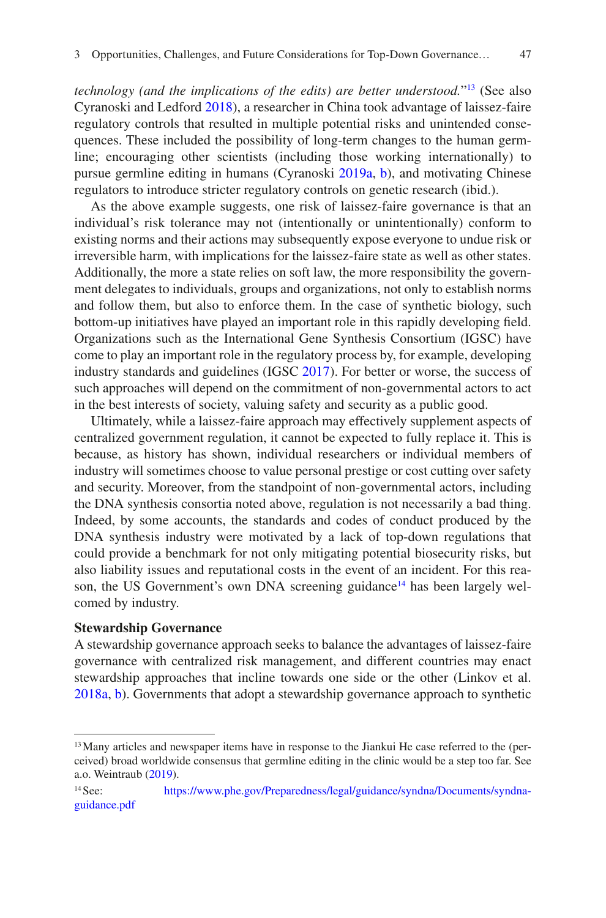*technology (and the implications of the edits) are better understood.*"[13](#page-10-0) (See also Cyranoski and Ledford [2018\)](#page-19-14), a researcher in China took advantage of laissez-faire regulatory controls that resulted in multiple potential risks and unintended consequences. These included the possibility of long-term changes to the human germline; encouraging other scientists (including those working internationally) to pursue germline editing in humans (Cyranoski [2019a](#page-19-15), [b\)](#page-19-16), and motivating Chinese regulators to introduce stricter regulatory controls on genetic research (ibid.).

As the above example suggests, one risk of laissez-faire governance is that an individual's risk tolerance may not (intentionally or unintentionally) conform to existing norms and their actions may subsequently expose everyone to undue risk or irreversible harm, with implications for the laissez-faire state as well as other states. Additionally, the more a state relies on soft law, the more responsibility the government delegates to individuals, groups and organizations, not only to establish norms and follow them, but also to enforce them. In the case of synthetic biology, such bottom-up initiatives have played an important role in this rapidly developing feld. Organizations such as the International Gene Synthesis Consortium (IGSC) have come to play an important role in the regulatory process by, for example, developing industry standards and guidelines (IGSC [2017](#page-19-17)). For better or worse, the success of such approaches will depend on the commitment of non-governmental actors to act in the best interests of society, valuing safety and security as a public good.

Ultimately, while a laissez-faire approach may effectively supplement aspects of centralized government regulation, it cannot be expected to fully replace it. This is because, as history has shown, individual researchers or individual members of industry will sometimes choose to value personal prestige or cost cutting over safety and security. Moreover, from the standpoint of non-governmental actors, including the DNA synthesis consortia noted above, regulation is not necessarily a bad thing. Indeed, by some accounts, the standards and codes of conduct produced by the DNA synthesis industry were motivated by a lack of top-down regulations that could provide a benchmark for not only mitigating potential biosecurity risks, but also liability issues and reputational costs in the event of an incident. For this reason, the US Government's own DNA screening guidance<sup>14</sup> has been largely welcomed by industry.

#### **Stewardship Governance**

A stewardship governance approach seeks to balance the advantages of laissez-faire governance with centralized risk management, and different countries may enact stewardship approaches that incline towards one side or the other (Linkov et al. [2018a](#page-20-8), [b](#page-20-9)). Governments that adopt a stewardship governance approach to synthetic

<span id="page-10-0"></span><sup>&</sup>lt;sup>13</sup> Many articles and newspaper items have in response to the Jiankui He case referred to the (perceived) broad worldwide consensus that germline editing in the clinic would be a step too far. See a.o. Weintraub [\(2019](#page-21-4)).

<span id="page-10-1"></span><sup>14</sup>See: [https://www.phe.gov/Preparedness/legal/guidance/syndna/Documents/syndna](https://www.phe.gov/Preparedness/legal/guidance/syndna/Documents/syndna-guidance.pdf)[guidance.pdf](https://www.phe.gov/Preparedness/legal/guidance/syndna/Documents/syndna-guidance.pdf)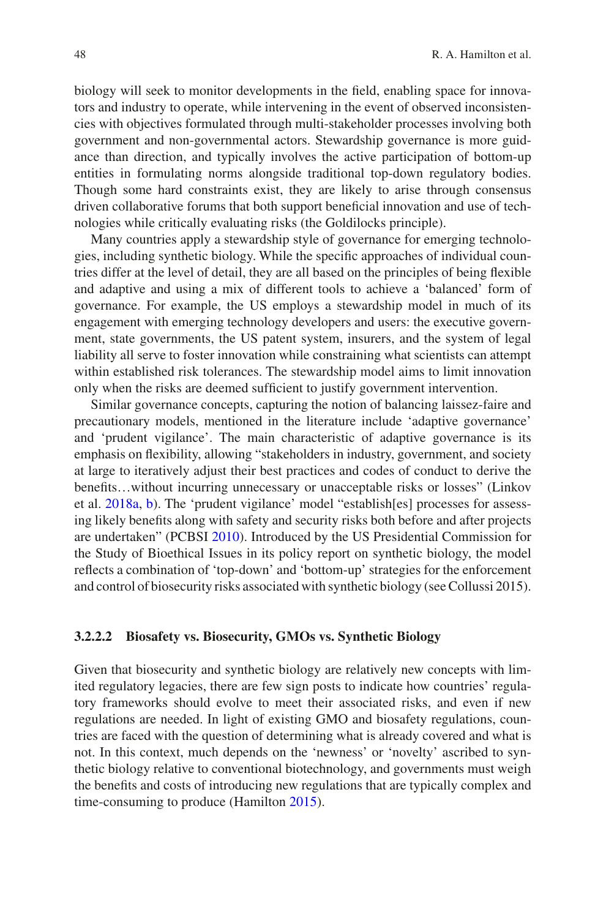biology will seek to monitor developments in the feld, enabling space for innovators and industry to operate, while intervening in the event of observed inconsistencies with objectives formulated through multi-stakeholder processes involving both government and non-governmental actors. Stewardship governance is more guidance than direction, and typically involves the active participation of bottom-up entities in formulating norms alongside traditional top-down regulatory bodies. Though some hard constraints exist, they are likely to arise through consensus driven collaborative forums that both support benefcial innovation and use of technologies while critically evaluating risks (the Goldilocks principle).

Many countries apply a stewardship style of governance for emerging technologies, including synthetic biology. While the specifc approaches of individual countries differ at the level of detail, they are all based on the principles of being fexible and adaptive and using a mix of different tools to achieve a 'balanced' form of governance. For example, the US employs a stewardship model in much of its engagement with emerging technology developers and users: the executive government, state governments, the US patent system, insurers, and the system of legal liability all serve to foster innovation while constraining what scientists can attempt within established risk tolerances. The stewardship model aims to limit innovation only when the risks are deemed suffcient to justify government intervention.

Similar governance concepts, capturing the notion of balancing laissez-faire and precautionary models, mentioned in the literature include 'adaptive governance' and 'prudent vigilance'. The main characteristic of adaptive governance is its emphasis on fexibility, allowing "stakeholders in industry, government, and society at large to iteratively adjust their best practices and codes of conduct to derive the benefts…without incurring unnecessary or unacceptable risks or losses" (Linkov et al. [2018a,](#page-20-8) [b](#page-20-9)). The 'prudent vigilance' model "establish[es] processes for assessing likely benefts along with safety and security risks both before and after projects are undertaken" (PCBSI [2010\)](#page-20-15). Introduced by the US Presidential Commission for the Study of Bioethical Issues in its policy report on synthetic biology, the model refects a combination of 'top-down' and 'bottom-up' strategies for the enforcement and control of biosecurity risks associated with synthetic biology (see Collussi 2015).

#### **3.2.2.2 Biosafety vs. Biosecurity, GMOs vs. Synthetic Biology**

Given that biosecurity and synthetic biology are relatively new concepts with limited regulatory legacies, there are few sign posts to indicate how countries' regulatory frameworks should evolve to meet their associated risks, and even if new regulations are needed. In light of existing GMO and biosafety regulations, countries are faced with the question of determining what is already covered and what is not. In this context, much depends on the 'newness' or 'novelty' ascribed to synthetic biology relative to conventional biotechnology, and governments must weigh the benefts and costs of introducing new regulations that are typically complex and time-consuming to produce (Hamilton [2015\)](#page-19-4).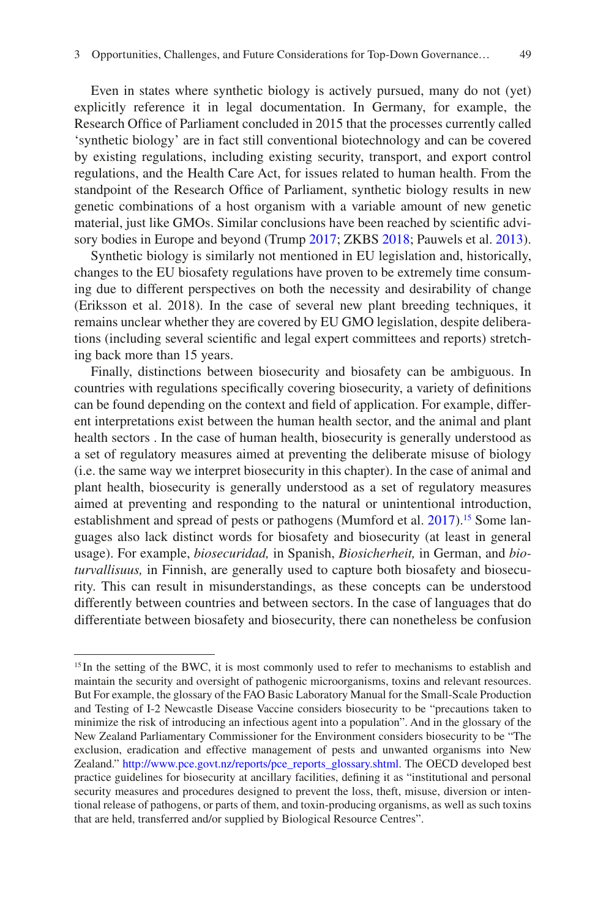Even in states where synthetic biology is actively pursued, many do not (yet) explicitly reference it in legal documentation. In Germany, for example, the Research Office of Parliament concluded in 2015 that the processes currently called 'synthetic biology' are in fact still conventional biotechnology and can be covered by existing regulations, including existing security, transport, and export control regulations, and the Health Care Act, for issues related to human health. From the standpoint of the Research Office of Parliament, synthetic biology results in new genetic combinations of a host organism with a variable amount of new genetic material, just like GMOs. Similar conclusions have been reached by scientifc advisory bodies in Europe and beyond (Trump [2017](#page-20-16); ZKBS [2018](#page-21-5); Pauwels et al. [2013\)](#page-20-17).

Synthetic biology is similarly not mentioned in EU legislation and, historically, changes to the EU biosafety regulations have proven to be extremely time consuming due to different perspectives on both the necessity and desirability of change (Eriksson et al. 2018). In the case of several new plant breeding techniques, it remains unclear whether they are covered by EU GMO legislation, despite deliberations (including several scientifc and legal expert committees and reports) stretching back more than 15 years.

Finally, distinctions between biosecurity and biosafety can be ambiguous. In countries with regulations specifcally covering biosecurity, a variety of defnitions can be found depending on the context and feld of application. For example, different interpretations exist between the human health sector, and the animal and plant health sectors . In the case of human health, biosecurity is generally understood as a set of regulatory measures aimed at preventing the deliberate misuse of biology (i.e. the same way we interpret biosecurity in this chapter). In the case of animal and plant health, biosecurity is generally understood as a set of regulatory measures aimed at preventing and responding to the natural or unintentional introduction, establishment and spread of pests or pathogens (Mumford et al. [2017](#page-20-18)).<sup>15</sup> Some languages also lack distinct words for biosafety and biosecurity (at least in general usage). For example, *biosecuridad,* in Spanish, *Biosicherheit,* in German, and *bioturvallisuus,* in Finnish, are generally used to capture both biosafety and biosecurity. This can result in misunderstandings, as these concepts can be understood differently between countries and between sectors. In the case of languages that do differentiate between biosafety and biosecurity, there can nonetheless be confusion

<span id="page-12-0"></span><sup>&</sup>lt;sup>15</sup> In the setting of the BWC, it is most commonly used to refer to mechanisms to establish and maintain the security and oversight of pathogenic microorganisms, toxins and relevant resources. But For example, the glossary of the FAO Basic Laboratory Manual for the Small-Scale Production and Testing of I-2 Newcastle Disease Vaccine considers biosecurity to be "precautions taken to minimize the risk of introducing an infectious agent into a population". And in the glossary of the New Zealand Parliamentary Commissioner for the Environment considers biosecurity to be "The exclusion, eradication and effective management of pests and unwanted organisms into New Zealand." [http://www.pce.govt.nz/reports/pce\\_reports\\_glossary.shtml](http://www.pce.govt.nz/reports/pce_reports_glossary.shtml). The OECD developed best practice guidelines for biosecurity at ancillary facilities, defning it as "institutional and personal security measures and procedures designed to prevent the loss, theft, misuse, diversion or intentional release of pathogens, or parts of them, and toxin-producing organisms, as well as such toxins that are held, transferred and/or supplied by Biological Resource Centres".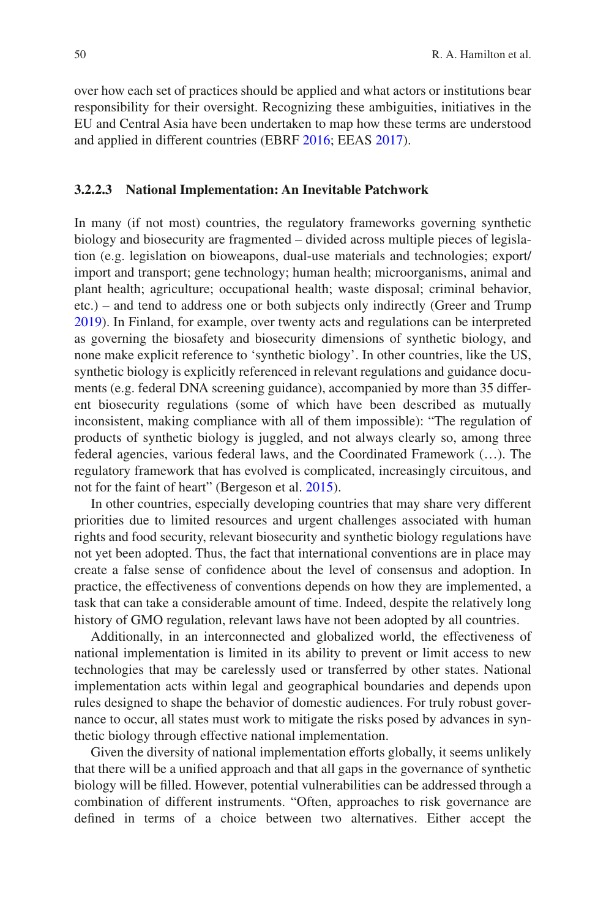over how each set of practices should be applied and what actors or institutions bear responsibility for their oversight. Recognizing these ambiguities, initiatives in the EU and Central Asia have been undertaken to map how these terms are understood and applied in different countries (EBRF [2016;](#page-19-18) EEAS [2017](#page-19-19)).

#### **3.2.2.3 National Implementation: An Inevitable Patchwork**

In many (if not most) countries, the regulatory frameworks governing synthetic biology and biosecurity are fragmented – divided across multiple pieces of legislation (e.g. legislation on bioweapons, dual-use materials and technologies; export/ import and transport; gene technology; human health; microorganisms, animal and plant health; agriculture; occupational health; waste disposal; criminal behavior, etc.) – and tend to address one or both subjects only indirectly (Greer and Trump [2019\)](#page-19-20). In Finland, for example, over twenty acts and regulations can be interpreted as governing the biosafety and biosecurity dimensions of synthetic biology, and none make explicit reference to 'synthetic biology'. In other countries, like the US, synthetic biology is explicitly referenced in relevant regulations and guidance documents (e.g. federal DNA screening guidance), accompanied by more than 35 different biosecurity regulations (some of which have been described as mutually inconsistent, making compliance with all of them impossible): "The regulation of products of synthetic biology is juggled, and not always clearly so, among three federal agencies, various federal laws, and the Coordinated Framework (…). The regulatory framework that has evolved is complicated, increasingly circuitous, and not for the faint of heart" (Bergeson et al. [2015\)](#page-18-4).

In other countries, especially developing countries that may share very different priorities due to limited resources and urgent challenges associated with human rights and food security, relevant biosecurity and synthetic biology regulations have not yet been adopted. Thus, the fact that international conventions are in place may create a false sense of confdence about the level of consensus and adoption. In practice, the effectiveness of conventions depends on how they are implemented, a task that can take a considerable amount of time. Indeed, despite the relatively long history of GMO regulation, relevant laws have not been adopted by all countries.

Additionally, in an interconnected and globalized world, the effectiveness of national implementation is limited in its ability to prevent or limit access to new technologies that may be carelessly used or transferred by other states. National implementation acts within legal and geographical boundaries and depends upon rules designed to shape the behavior of domestic audiences. For truly robust governance to occur, all states must work to mitigate the risks posed by advances in synthetic biology through effective national implementation.

Given the diversity of national implementation efforts globally, it seems unlikely that there will be a unifed approach and that all gaps in the governance of synthetic biology will be flled. However, potential vulnerabilities can be addressed through a combination of different instruments. "Often, approaches to risk governance are defned in terms of a choice between two alternatives. Either accept the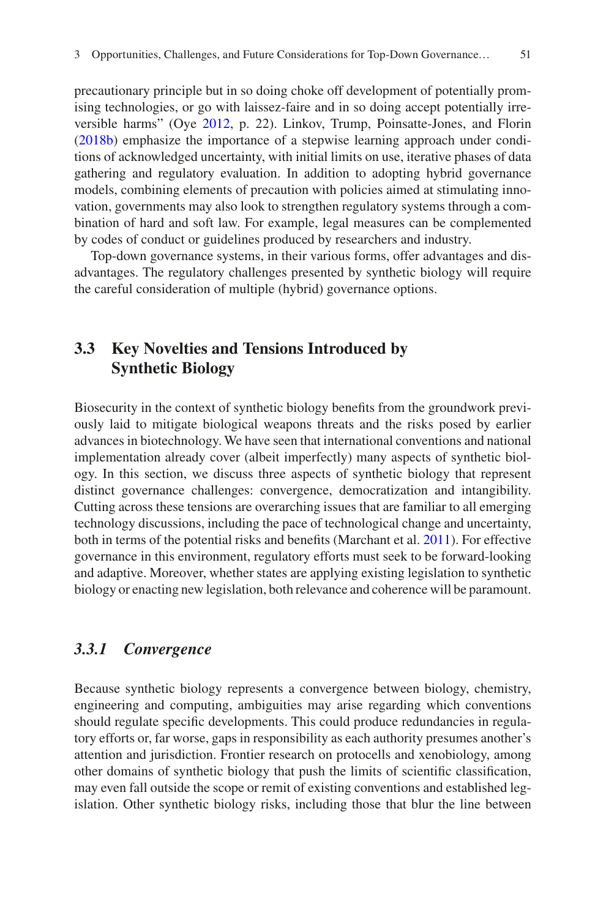precautionary principle but in so doing choke off development of potentially promising technologies, or go with laissez-faire and in so doing accept potentially irreversible harms" (Oye [2012,](#page-20-4) p. 22). Linkov, Trump, Poinsatte-Jones, and Florin [\(2018b](#page-20-9)) emphasize the importance of a stepwise learning approach under conditions of acknowledged uncertainty, with initial limits on use, iterative phases of data gathering and regulatory evaluation. In addition to adopting hybrid governance models, combining elements of precaution with policies aimed at stimulating innovation, governments may also look to strengthen regulatory systems through a combination of hard and soft law. For example, legal measures can be complemented by codes of conduct or guidelines produced by researchers and industry.

Top-down governance systems, in their various forms, offer advantages and disadvantages. The regulatory challenges presented by synthetic biology will require the careful consideration of multiple (hybrid) governance options.

# **3.3 Key Novelties and Tensions Introduced by Synthetic Biology**

Biosecurity in the context of synthetic biology benefts from the groundwork previously laid to mitigate biological weapons threats and the risks posed by earlier advances in biotechnology. We have seen that international conventions and national implementation already cover (albeit imperfectly) many aspects of synthetic biology. In this section, we discuss three aspects of synthetic biology that represent distinct governance challenges: convergence, democratization and intangibility. Cutting across these tensions are overarching issues that are familiar to all emerging technology discussions, including the pace of technological change and uncertainty, both in terms of the potential risks and benefts (Marchant et al. [2011](#page-20-19)). For effective governance in this environment, regulatory efforts must seek to be forward-looking and adaptive. Moreover, whether states are applying existing legislation to synthetic biology or enacting new legislation, both relevance and coherence will be paramount.

## *3.3.1 Convergence*

Because synthetic biology represents a convergence between biology, chemistry, engineering and computing, ambiguities may arise regarding which conventions should regulate specifc developments. This could produce redundancies in regulatory efforts or, far worse, gaps in responsibility as each authority presumes another's attention and jurisdiction. Frontier research on protocells and xenobiology, among other domains of synthetic biology that push the limits of scientifc classifcation, may even fall outside the scope or remit of existing conventions and established legislation. Other synthetic biology risks, including those that blur the line between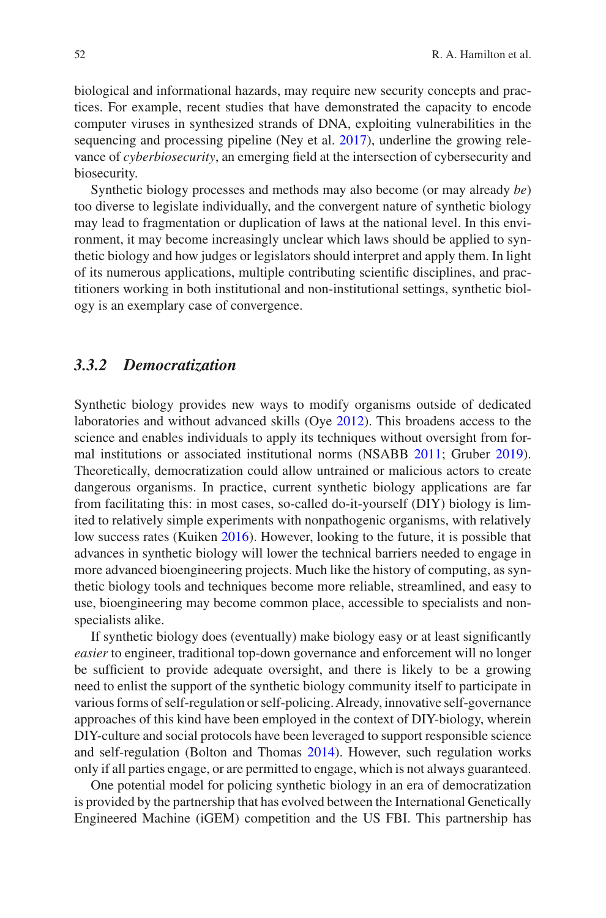biological and informational hazards, may require new security concepts and practices. For example, recent studies that have demonstrated the capacity to encode computer viruses in synthesized strands of DNA, exploiting vulnerabilities in the sequencing and processing pipeline (Ney et al. [2017](#page-20-20)), underline the growing relevance of *cyberbiosecurity*, an emerging feld at the intersection of cybersecurity and biosecurity.

Synthetic biology processes and methods may also become (or may already *be*) too diverse to legislate individually, and the convergent nature of synthetic biology may lead to fragmentation or duplication of laws at the national level. In this environment, it may become increasingly unclear which laws should be applied to synthetic biology and how judges or legislators should interpret and apply them. In light of its numerous applications, multiple contributing scientifc disciplines, and practitioners working in both institutional and non-institutional settings, synthetic biology is an exemplary case of convergence.

# *3.3.2 Democratization*

Synthetic biology provides new ways to modify organisms outside of dedicated laboratories and without advanced skills (Oye [2012](#page-20-4)). This broadens access to the science and enables individuals to apply its techniques without oversight from formal institutions or associated institutional norms (NSABB [2011](#page-20-13); Gruber [2019\)](#page-19-21). Theoretically, democratization could allow untrained or malicious actors to create dangerous organisms. In practice, current synthetic biology applications are far from facilitating this: in most cases, so-called do-it-yourself (DIY) biology is limited to relatively simple experiments with nonpathogenic organisms, with relatively low success rates (Kuiken [2016\)](#page-19-22). However, looking to the future, it is possible that advances in synthetic biology will lower the technical barriers needed to engage in more advanced bioengineering projects. Much like the history of computing, as synthetic biology tools and techniques become more reliable, streamlined, and easy to use, bioengineering may become common place, accessible to specialists and nonspecialists alike.

If synthetic biology does (eventually) make biology easy or at least signifcantly *easier* to engineer, traditional top-down governance and enforcement will no longer be sufficient to provide adequate oversight, and there is likely to be a growing need to enlist the support of the synthetic biology community itself to participate in various forms of self-regulation or self-policing. Already, innovative self-governance approaches of this kind have been employed in the context of DIY-biology, wherein DIY-culture and social protocols have been leveraged to support responsible science and self-regulation (Bolton and Thomas [2014\)](#page-19-23). However, such regulation works only if all parties engage, or are permitted to engage, which is not always guaranteed.

One potential model for policing synthetic biology in an era of democratization is provided by the partnership that has evolved between the International Genetically Engineered Machine (iGEM) competition and the US FBI. This partnership has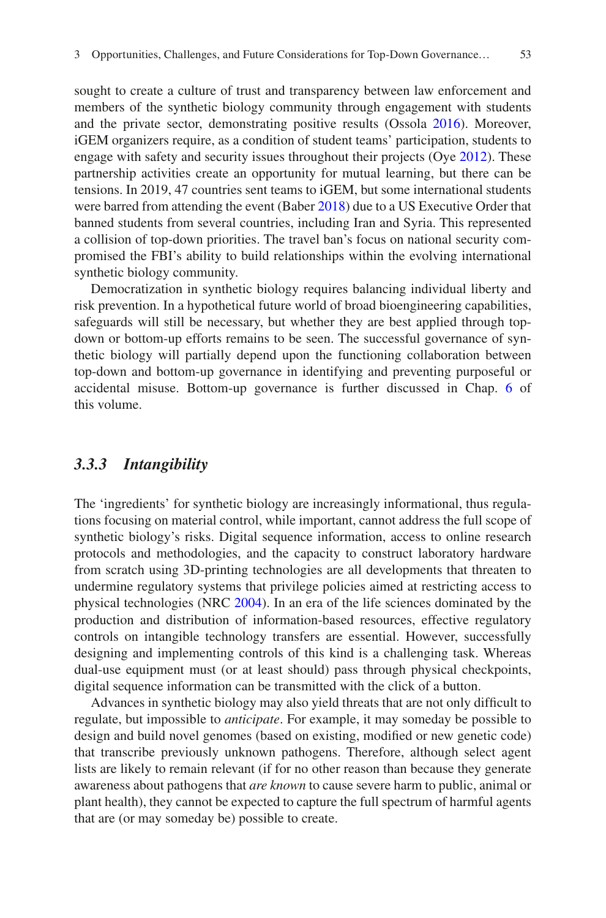sought to create a culture of trust and transparency between law enforcement and members of the synthetic biology community through engagement with students and the private sector, demonstrating positive results (Ossola [2016](#page-20-21)). Moreover, iGEM organizers require, as a condition of student teams' participation, students to engage with safety and security issues throughout their projects (Oye [2012](#page-20-4)). These partnership activities create an opportunity for mutual learning, but there can be tensions. In 2019, 47 countries sent teams to iGEM, but some international students were barred from attending the event (Baber [2018\)](#page-18-5) due to a US Executive Order that banned students from several countries, including Iran and Syria. This represented a collision of top-down priorities. The travel ban's focus on national security compromised the FBI's ability to build relationships within the evolving international synthetic biology community.

Democratization in synthetic biology requires balancing individual liberty and risk prevention. In a hypothetical future world of broad bioengineering capabilities, safeguards will still be necessary, but whether they are best applied through topdown or bottom-up efforts remains to be seen. The successful governance of synthetic biology will partially depend upon the functioning collaboration between top-down and bottom-up governance in identifying and preventing purposeful or accidental misuse. Bottom-up governance is further discussed in Chap. [6](https://doi.org/10.1007/978-94-024-2086-9_6) of this volume.

# *3.3.3 Intangibility*

The 'ingredients' for synthetic biology are increasingly informational, thus regulations focusing on material control, while important, cannot address the full scope of synthetic biology's risks. Digital sequence information, access to online research protocols and methodologies, and the capacity to construct laboratory hardware from scratch using 3D-printing technologies are all developments that threaten to undermine regulatory systems that privilege policies aimed at restricting access to physical technologies (NRC [2004](#page-20-0)). In an era of the life sciences dominated by the production and distribution of information-based resources, effective regulatory controls on intangible technology transfers are essential. However, successfully designing and implementing controls of this kind is a challenging task. Whereas dual-use equipment must (or at least should) pass through physical checkpoints, digital sequence information can be transmitted with the click of a button.

Advances in synthetic biology may also yield threats that are not only diffcult to regulate, but impossible to *anticipate*. For example, it may someday be possible to design and build novel genomes (based on existing, modifed or new genetic code) that transcribe previously unknown pathogens. Therefore, although select agent lists are likely to remain relevant (if for no other reason than because they generate awareness about pathogens that *are known* to cause severe harm to public, animal or plant health), they cannot be expected to capture the full spectrum of harmful agents that are (or may someday be) possible to create.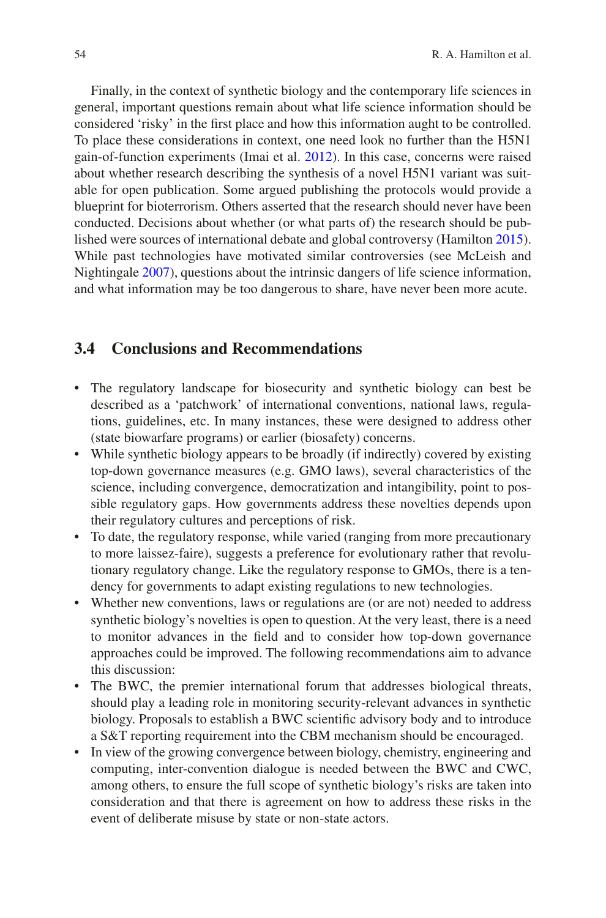Finally, in the context of synthetic biology and the contemporary life sciences in general, important questions remain about what life science information should be considered 'risky' in the frst place and how this information aught to be controlled. To place these considerations in context, one need look no further than the H5N1 gain-of-function experiments (Imai et al. [2012](#page-19-24)). In this case, concerns were raised about whether research describing the synthesis of a novel H5N1 variant was suitable for open publication. Some argued publishing the protocols would provide a blueprint for bioterrorism. Others asserted that the research should never have been conducted. Decisions about whether (or what parts of) the research should be published were sources of international debate and global controversy (Hamilton [2015\)](#page-19-4). While past technologies have motivated similar controversies (see McLeish and Nightingale [2007](#page-20-5)), questions about the intrinsic dangers of life science information, and what information may be too dangerous to share, have never been more acute.

# **3.4 Conclusions and Recommendations**

- The regulatory landscape for biosecurity and synthetic biology can best be described as a 'patchwork' of international conventions, national laws, regulations, guidelines, etc. In many instances, these were designed to address other (state biowarfare programs) or earlier (biosafety) concerns.
- While synthetic biology appears to be broadly (if indirectly) covered by existing top-down governance measures (e.g. GMO laws), several characteristics of the science, including convergence, democratization and intangibility, point to possible regulatory gaps. How governments address these novelties depends upon their regulatory cultures and perceptions of risk.
- To date, the regulatory response, while varied (ranging from more precautionary to more laissez-faire), suggests a preference for evolutionary rather that revolutionary regulatory change. Like the regulatory response to GMOs, there is a tendency for governments to adapt existing regulations to new technologies.
- Whether new conventions, laws or regulations are (or are not) needed to address synthetic biology's novelties is open to question. At the very least, there is a need to monitor advances in the feld and to consider how top-down governance approaches could be improved. The following recommendations aim to advance this discussion:
- The BWC, the premier international forum that addresses biological threats, should play a leading role in monitoring security-relevant advances in synthetic biology. Proposals to establish a BWC scientifc advisory body and to introduce a S&T reporting requirement into the CBM mechanism should be encouraged.
- In view of the growing convergence between biology, chemistry, engineering and computing, inter-convention dialogue is needed between the BWC and CWC, among others, to ensure the full scope of synthetic biology's risks are taken into consideration and that there is agreement on how to address these risks in the event of deliberate misuse by state or non-state actors.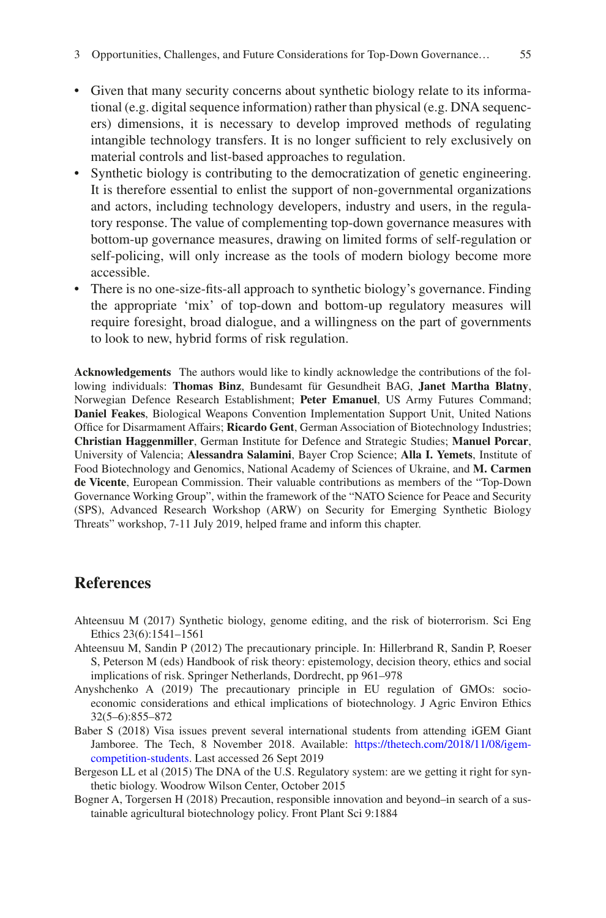- Given that many security concerns about synthetic biology relate to its informational (e.g. digital sequence information) rather than physical (e.g. DNA sequencers) dimensions, it is necessary to develop improved methods of regulating intangible technology transfers. It is no longer suffcient to rely exclusively on material controls and list-based approaches to regulation.
- Synthetic biology is contributing to the democratization of genetic engineering. It is therefore essential to enlist the support of non-governmental organizations and actors, including technology developers, industry and users, in the regulatory response. The value of complementing top-down governance measures with bottom-up governance measures, drawing on limited forms of self-regulation or self-policing, will only increase as the tools of modern biology become more accessible.
- There is no one-size-fts-all approach to synthetic biology's governance. Finding the appropriate 'mix' of top-down and bottom-up regulatory measures will require foresight, broad dialogue, and a willingness on the part of governments to look to new, hybrid forms of risk regulation.

**Acknowledgements** The authors would like to kindly acknowledge the contributions of the following individuals: **Thomas Binz**, Bundesamt für Gesundheit BAG, **Janet Martha Blatny**, Norwegian Defence Research Establishment; **Peter Emanuel**, US Army Futures Command; **Daniel Feakes**, Biological Weapons Convention Implementation Support Unit, United Nations Office for Disarmament Affairs; **Ricardo Gent**, German Association of Biotechnology Industries; **Christian Haggenmiller**, German Institute for Defence and Strategic Studies; **Manuel Porcar**, University of Valencia; **Alessandra Salamini**, Bayer Crop Science; **Alla I. Yemets**, Institute of Food Biotechnology and Genomics, National Academy of Sciences of Ukraine, and **M. Carmen de Vicente**, European Commission. Their valuable contributions as members of the "Top-Down Governance Working Group", within the framework of the "NATO Science for Peace and Security (SPS), Advanced Research Workshop (ARW) on Security for Emerging Synthetic Biology Threats" workshop, 7-11 July 2019, helped frame and inform this chapter.

# **References**

- <span id="page-18-3"></span>Ahteensuu M (2017) Synthetic biology, genome editing, and the risk of bioterrorism. Sci Eng Ethics 23(6):1541–1561
- <span id="page-18-0"></span>Ahteensuu M, Sandin P (2012) The precautionary principle. In: Hillerbrand R, Sandin P, Roeser S, Peterson M (eds) Handbook of risk theory: epistemology, decision theory, ethics and social implications of risk. Springer Netherlands, Dordrecht, pp 961–978
- <span id="page-18-1"></span>Anyshchenko A (2019) The precautionary principle in EU regulation of GMOs: socioeconomic considerations and ethical implications of biotechnology. J Agric Environ Ethics 32(5–6):855–872
- <span id="page-18-5"></span>Baber S (2018) Visa issues prevent several international students from attending iGEM Giant Jamboree. The Tech, 8 November 2018. Available: [https://thetech.com/2018/11/08/igem](https://thetech.com/2018/11/08/igem-competition-students)[competition-students](https://thetech.com/2018/11/08/igem-competition-students). Last accessed 26 Sept 2019
- <span id="page-18-4"></span>Bergeson LL et al (2015) The DNA of the U.S. Regulatory system: are we getting it right for synthetic biology. Woodrow Wilson Center, October 2015
- <span id="page-18-2"></span>Bogner A, Torgersen H (2018) Precaution, responsible innovation and beyond–in search of a sustainable agricultural biotechnology policy. Front Plant Sci 9:1884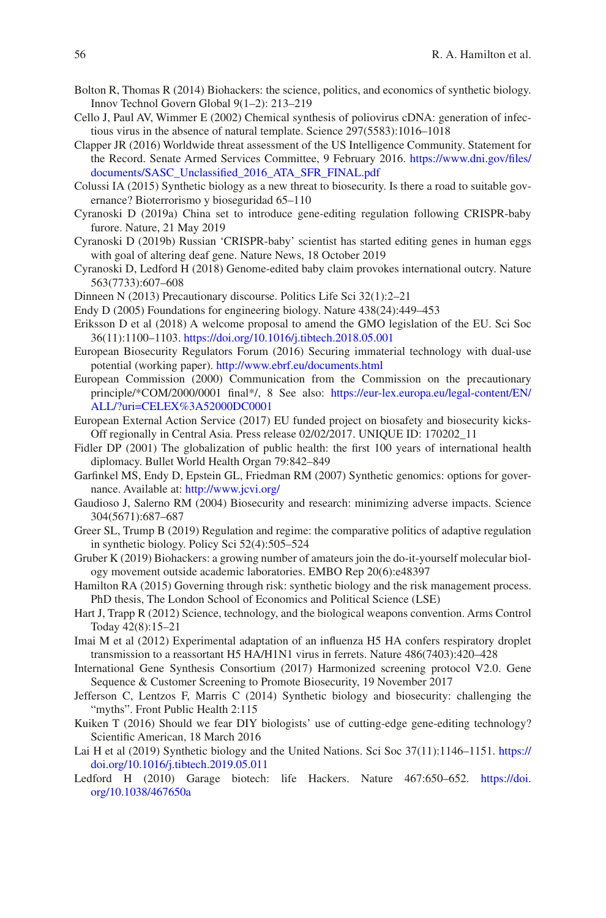- <span id="page-19-23"></span>Bolton R, Thomas R (2014) Biohackers: the science, politics, and economics of synthetic biology. Innov Technol Govern Global 9(1–2): 213–219
- <span id="page-19-1"></span>Cello J, Paul AV, Wimmer E (2002) Chemical synthesis of poliovirus cDNA: generation of infectious virus in the absence of natural template. Science 297(5583):1016–1018
- <span id="page-19-6"></span>Clapper JR (2016) Worldwide threat assessment of the US Intelligence Community. Statement for the Record. Senate Armed Services Committee, 9 February 2016. [https://www.dni.gov/fles/](https://www.dni.gov/files/documents/SASC_Unclassified_2016_ATA_SFR_FINAL.pdf) [documents/SASC\\_Unclassifed\\_2016\\_ATA\\_SFR\\_FINAL.pdf](https://www.dni.gov/files/documents/SASC_Unclassified_2016_ATA_SFR_FINAL.pdf)
- <span id="page-19-10"></span>Colussi IA (2015) Synthetic biology as a new threat to biosecurity. Is there a road to suitable governance? Bioterrorismo y bioseguridad 65–110
- <span id="page-19-15"></span>Cyranoski D (2019a) China set to introduce gene-editing regulation following CRISPR-baby furore. Nature, 21 May 2019
- <span id="page-19-16"></span>Cyranoski D (2019b) Russian 'CRISPR-baby' scientist has started editing genes in human eggs with goal of altering deaf gene. Nature News, 18 October 2019
- <span id="page-19-14"></span>Cyranoski D, Ledford H (2018) Genome-edited baby claim provokes international outcry. Nature 563(7733):607–608
- <span id="page-19-11"></span>Dinneen N (2013) Precautionary discourse. Politics Life Sci 32(1):2–21
- <span id="page-19-0"></span>Endy D (2005) Foundations for engineering biology. Nature 438(24):449–453
- Eriksson D et al (2018) A welcome proposal to amend the GMO legislation of the EU. Sci Soc 36(11):1100–1103.<https://doi.org/10.1016/j.tibtech.2018.05.001>
- <span id="page-19-18"></span>European Biosecurity Regulators Forum (2016) Securing immaterial technology with dual-use potential (working paper). <http://www.ebrf.eu/documents.html>
- <span id="page-19-12"></span>European Commission (2000) Communication from the Commission on the precautionary principle/\*COM/2000/0001 fnal\*/, 8 See also: [https://eur-lex.europa.eu/legal-content/EN/](https://eur-lex.europa.eu/legal-content/EN/ALL/?uri=CELEX:52000DC0001) [ALL/?uri=CELEX%3A52000DC0001](https://eur-lex.europa.eu/legal-content/EN/ALL/?uri=CELEX:52000DC0001)
- <span id="page-19-19"></span>European External Action Service (2017) EU funded project on biosafety and biosecurity kicks-Off regionally in Central Asia. Press release 02/02/2017. UNIQUE ID: 170202\_11
- <span id="page-19-9"></span>Fidler DP (2001) The globalization of public health: the frst 100 years of international health diplomacy. Bullet World Health Organ 79:842–849
- <span id="page-19-2"></span>Garfnkel MS, Endy D, Epstein GL, Friedman RM (2007) Synthetic genomics: options for governance. Available at:<http://www.jcvi.org/>
- <span id="page-19-13"></span>Gaudioso J, Salerno RM (2004) Biosecurity and research: minimizing adverse impacts. Science 304(5671):687–687
- <span id="page-19-20"></span>Greer SL, Trump B (2019) Regulation and regime: the comparative politics of adaptive regulation in synthetic biology. Policy Sci 52(4):505–524
- <span id="page-19-21"></span>Gruber K (2019) Biohackers: a growing number of amateurs join the do-it-yourself molecular biology movement outside academic laboratories. EMBO Rep 20(6):e48397
- <span id="page-19-4"></span>Hamilton RA (2015) Governing through risk: synthetic biology and the risk management process. PhD thesis, The London School of Economics and Political Science (LSE)
- <span id="page-19-7"></span>Hart J, Trapp R (2012) Science, technology, and the biological weapons convention. Arms Control Today 42(8):15–21
- <span id="page-19-24"></span>Imai M et al (2012) Experimental adaptation of an infuenza H5 HA confers respiratory droplet transmission to a reassortant H5 HA/H1N1 virus in ferrets. Nature 486(7403):420–428
- <span id="page-19-17"></span>International Gene Synthesis Consortium (2017) Harmonized screening protocol V2.0. Gene Sequence & Customer Screening to Promote Biosecurity, 19 November 2017
- <span id="page-19-3"></span>Jefferson C, Lentzos F, Marris C (2014) Synthetic biology and biosecurity: challenging the "myths". Front Public Health 2:115
- <span id="page-19-22"></span>Kuiken T (2016) Should we fear DIY biologists' use of cutting-edge gene-editing technology? Scientifc American, 18 March 2016
- <span id="page-19-8"></span>Lai H et al (2019) Synthetic biology and the United Nations. Sci Soc 37(11):1146–1151. [https://](https://doi.org/10.1016/j.tibtech.2019.05.011) [doi.org/10.1016/j.tibtech.2019.05.011](https://doi.org/10.1016/j.tibtech.2019.05.011)
- <span id="page-19-5"></span>Ledford H (2010) Garage biotech: life Hackers. Nature 467:650–652. [https://doi.](https://doi.org/10.1038/467650a) [org/10.1038/467650a](https://doi.org/10.1038/467650a)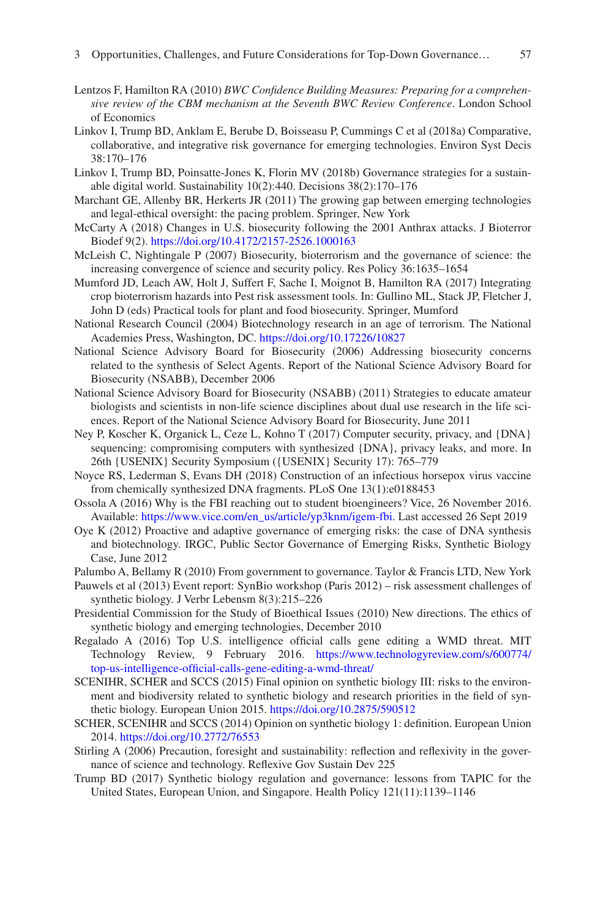- <span id="page-20-6"></span>Lentzos F, Hamilton RA (2010) *BWC Confdence Building Measures: Preparing for a comprehensive review of the CBM mechanism at the Seventh BWC Review Conference*. London School of Economics
- <span id="page-20-8"></span>Linkov I, Trump BD, Anklam E, Berube D, Boisseasu P, Cummings C et al (2018a) Comparative, collaborative, and integrative risk governance for emerging technologies. Environ Syst Decis 38:170–176
- <span id="page-20-9"></span>Linkov I, Trump BD, Poinsatte-Jones K, Florin MV (2018b) Governance strategies for a sustainable digital world. Sustainability 10(2):440. Decisions 38(2):170–176
- <span id="page-20-19"></span>Marchant GE, Allenby BR, Herkerts JR (2011) The growing gap between emerging technologies and legal-ethical oversight: the pacing problem. Springer, New York
- <span id="page-20-14"></span>McCarty A (2018) Changes in U.S. biosecurity following the 2001 Anthrax attacks. J Bioterror Biodef 9(2). <https://doi.org/10.4172/2157-2526.1000163>
- <span id="page-20-5"></span>McLeish C, Nightingale P (2007) Biosecurity, bioterrorism and the governance of science: the increasing convergence of science and security policy. Res Policy 36:1635–1654
- <span id="page-20-18"></span>Mumford JD, Leach AW, Holt J, Suffert F, Sache I, Moignot B, Hamilton RA (2017) Integrating crop bioterrorism hazards into Pest risk assessment tools. In: Gullino ML, Stack JP, Fletcher J, John D (eds) Practical tools for plant and food biosecurity. Springer, Mumford
- <span id="page-20-0"></span>National Research Council (2004) Biotechnology research in an age of terrorism. The National Academies Press, Washington, DC.<https://doi.org/10.17226/10827>
- <span id="page-20-2"></span>National Science Advisory Board for Biosecurity (2006) Addressing biosecurity concerns related to the synthesis of Select Agents. Report of the National Science Advisory Board for Biosecurity (NSABB), December 2006
- <span id="page-20-13"></span>National Science Advisory Board for Biosecurity (NSABB) (2011) Strategies to educate amateur biologists and scientists in non-life science disciplines about dual use research in the life sciences. Report of the National Science Advisory Board for Biosecurity, June 2011
- <span id="page-20-20"></span>Ney P, Koscher K, Organick L, Ceze L, Kohno T (2017) Computer security, privacy, and {DNA} sequencing: compromising computers with synthesized {DNA}, privacy leaks, and more. In 26th {USENIX} Security Symposium ({USENIX} Security 17): 765–779
- <span id="page-20-1"></span>Noyce RS, Lederman S, Evans DH (2018) Construction of an infectious horsepox virus vaccine from chemically synthesized DNA fragments. PLoS One 13(1):e0188453
- <span id="page-20-21"></span>Ossola A (2016) Why is the FBI reaching out to student bioengineers? Vice, 26 November 2016. Available: [https://www.vice.com/en\\_us/article/yp3knm/igem-fbi.](https://www.vice.com/en_us/article/yp3knm/igem-fbi) Last accessed 26 Sept 2019
- <span id="page-20-4"></span>Oye K (2012) Proactive and adaptive governance of emerging risks: the case of DNA synthesis and biotechnology. IRGC, Public Sector Governance of Emerging Risks, Synthetic Biology Case, June 2012

<span id="page-20-7"></span>Palumbo A, Bellamy R (2010) From government to governance. Taylor & Francis LTD, New York

- <span id="page-20-17"></span>Pauwels et al (2013) Event report: SynBio workshop (Paris 2012) – risk assessment challenges of synthetic biology. J Verbr Lebensm 8(3):215–226
- <span id="page-20-15"></span>Presidential Commission for the Study of Bioethical Issues (2010) New directions. The ethics of synthetic biology and emerging technologies, December 2010
- <span id="page-20-3"></span>Regalado A (2016) Top U.S. intelligence official calls gene editing a WMD threat. MIT Technology Review, 9 February 2016. [https://www.technologyreview.com/s/600774/](https://www.technologyreview.com/s/600774/top-us-intelligence-official-calls-gene-editing-a-wmd-threat/) [top-us-intelligence-offcial-calls-gene-editing-a-wmd-threat/](https://www.technologyreview.com/s/600774/top-us-intelligence-official-calls-gene-editing-a-wmd-threat/)
- <span id="page-20-12"></span>SCENIHR, SCHER and SCCS (2015) Final opinion on synthetic biology III: risks to the environment and biodiversity related to synthetic biology and research priorities in the feld of synthetic biology. European Union 2015. <https://doi.org/10.2875/590512>
- <span id="page-20-11"></span>SCHER, SCENIHR and SCCS (2014) Opinion on synthetic biology 1: defnition. European Union 2014.<https://doi.org/10.2772/76553>
- <span id="page-20-10"></span>Stirling A (2006) Precaution, foresight and sustainability: refection and refexivity in the governance of science and technology. Refexive Gov Sustain Dev 225
- <span id="page-20-16"></span>Trump BD (2017) Synthetic biology regulation and governance: lessons from TAPIC for the United States, European Union, and Singapore. Health Policy 121(11):1139–1146